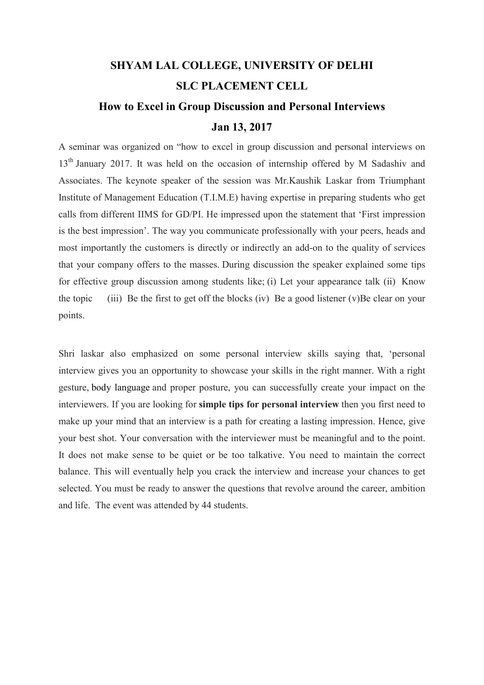#### SHYAM LAL COLLEGE, UNIVERSITY OF DELHI SLC PLACEMENT CELL How to Excel in Group Discussion and Personal Interviews

#### Jan 13, 2017

A seminar was organized on "how to excel in group discussion and personal interviews on 13<sup>th</sup> January 2017. It was held on the occasion of internship offered by M Sadashiv and Associates. The keynote speaker of the session was Mr.Kaushik Laskar from Triumphant Institute of Management Education (T.I.M.E) having expertise in preparing students who get calls from different IIMS for GD/PI. He impressed upon the statement that 'First impression is the best impression'. The way you communicate professionally with your peers, heads and most importantly the customers is directly or indirectly an add-on to the quality of services that your company offers to the masses. During discussion the speaker explained some tips for effective group discussion among students like; (i) Let your appearance talk (ii) Know the topic (iii) Be the first to get off the blocks (iv) Be a good listener (v)Be clear on your points.

Shri laskar also emphasized on some personal interview skills saying that, 'personal interview gives you an opportunity to showcase your skills in the right manner. With a right gesture, body language and proper posture, you can successfully create your impact on the interviewers. If you are looking for simple tips for personal interview then you first need to make up your mind that an interview is a path for creating a lasting impression. Hence, give your best shot. Your conversation with the interviewer must be meaningful and to the point. It does not make sense to be quiet or be too talkative. You need to maintain the correct balance. This will eventually help you crack the interview and increase your chances to get selected. You must be ready to answer the questions that revolve around the career, ambition and life. The event was attended by 44 students.